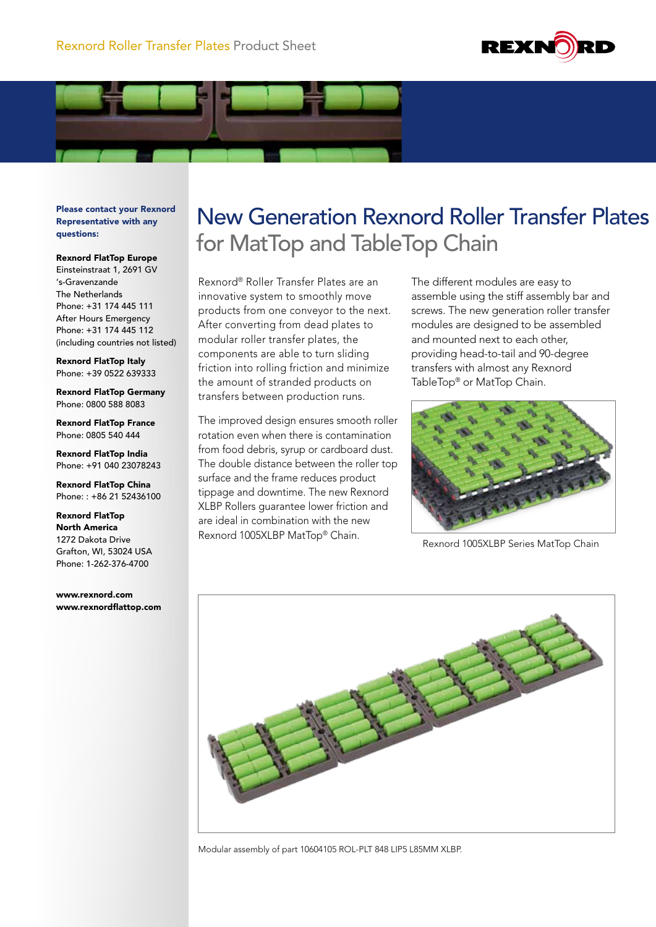



Please contact your Rexnord Representative with any questions:

Rexnord FlatTop Europe

Einsteinstraat 1, 2691 GV 's-Gravenzande The Netherlands Phone: +31 174 445 111 After Hours Emergency Phone: +31 174 445 112 (including countries not listed)

Rexnord FlatTop Italy Phone: +39 0522 639333

Rexnord FlatTop Germany Phone: 0800 588 8083

Rexnord FlatTop France Phone: 0805 540 444

Rexnord FlatTop India Phone: +91 040 23078243

Rexnord FlatTop China Phone: : +86 21 52436100

Rexnord FlatTop North America 1272 Dakota Drive Grafton, WI, 53024 USA Phone: 1-262-376-4700

www.rexnord.com www.rexnordflattop.com

## New Generation Rexnord Roller Transfer Plates for MatTop and TableTop Chain

Rexnord® Roller Transfer Plates are an innovative system to smoothly move products from one conveyor to the next. After converting from dead plates to modular roller transfer plates, the components are able to turn sliding friction into rolling friction and minimize the amount of stranded products on transfers between production runs.

The improved design ensures smooth roller rotation even when there is contamination from food debris, syrup or cardboard dust. The double distance between the roller top surface and the frame reduces product tippage and downtime. The new Rexnord XLBP Rollers guarantee lower friction and are ideal in combination with the new Rexnord 1005XLBP MatTop® Chain.

The different modules are easy to assemble using the stiff assembly bar and screws. The new generation roller transfer modules are designed to be assembled and mounted next to each other, providing head-to-tail and 90-degree transfers with almost any Rexnord TableTop® or MatTop Chain.



Rexnord 1005XLBP Series MatTop Chain



Modular assembly of part 10604105 ROL-PLT 848 LIP5 L85MM XLBP.